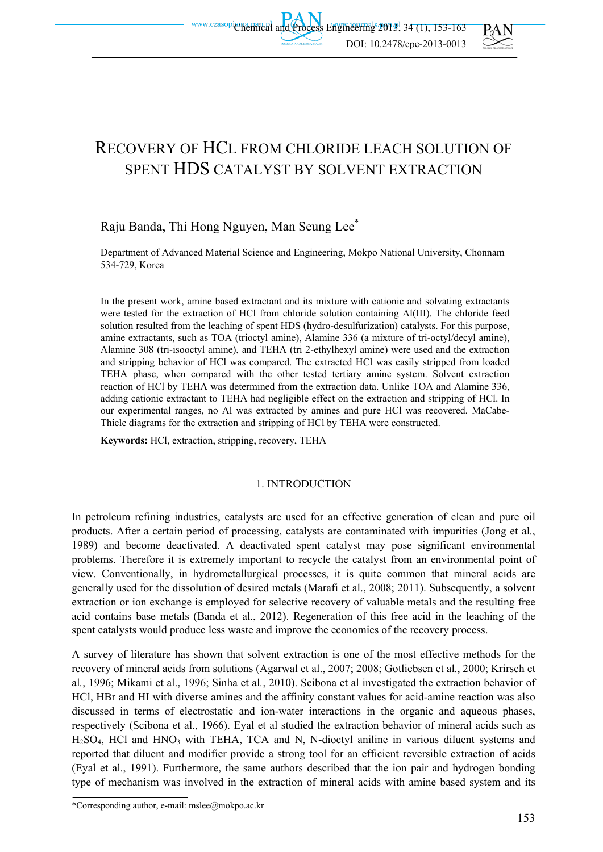

# RECOVERY OF HCL FROM CHLORIDE LEACH SOLUTION OF SPENT HDS CATALYST BY SOLVENT EXTRACTION

# Raju Banda, Thi Hong Nguyen, Man Seung Lee\*

Department of Advanced Material Science and Engineering, Mokpo National University, Chonnam 534-729, Korea

In the present work, amine based extractant and its mixture with cationic and solvating extractants were tested for the extraction of HCl from chloride solution containing Al(III). The chloride feed solution resulted from the leaching of spent HDS (hydro-desulfurization) catalysts. For this purpose, amine extractants, such as TOA (trioctyl amine), Alamine 336 (a mixture of tri-octyl/decyl amine), Alamine 308 (tri-isooctyl amine), and TEHA (tri 2-ethylhexyl amine) were used and the extraction and stripping behavior of HCl was compared. The extracted HCl was easily stripped from loaded TEHA phase, when compared with the other tested tertiary amine system. Solvent extraction reaction of HCl by TEHA was determined from the extraction data. Unlike TOA and Alamine 336, adding cationic extractant to TEHA had negligible effect on the extraction and stripping of HCl. In our experimental ranges, no Al was extracted by amines and pure HCl was recovered. MaCabe-Thiele diagrams for the extraction and stripping of HCl by TEHA were constructed.

**Keywords:** HCl, extraction, stripping, recovery, TEHA

## 1. INTRODUCTION

In petroleum refining industries, catalysts are used for an effective generation of clean and pure oil products. After a certain period of processing, catalysts are contaminated with impurities (Jong et al*.*, 1989) and become deactivated. A deactivated spent catalyst may pose significant environmental problems. Therefore it is extremely important to recycle the catalyst from an environmental point of view. Conventionally, in hydrometallurgical processes, it is quite common that mineral acids are generally used for the dissolution of desired metals (Marafi et al., 2008; 2011). Subsequently, a solvent extraction or ion exchange is employed for selective recovery of valuable metals and the resulting free acid contains base metals (Banda et al., 2012). Regeneration of this free acid in the leaching of the spent catalysts would produce less waste and improve the economics of the recovery process.

A survey of literature has shown that solvent extraction is one of the most effective methods for the recovery of mineral acids from solutions (Agarwal et al., 2007; 2008; Gotliebsen et al*.*, 2000; Krirsch et al*.*, 1996; Mikami et al., 1996; Sinha et al*.*, 2010). Scibona et al investigated the extraction behavior of HCl, HBr and HI with diverse amines and the affinity constant values for acid-amine reaction was also discussed in terms of electrostatic and ion-water interactions in the organic and aqueous phases, respectively (Scibona et al., 1966). Eyal et al studied the extraction behavior of mineral acids such as  $H<sub>2</sub>SO<sub>4</sub>$ , HCl and HNO<sub>3</sub> with TEHA, TCA and N, N-dioctyl aniline in various diluent systems and reported that diluent and modifier provide a strong tool for an efficient reversible extraction of acids (Eyal et al., 1991). Furthermore, the same authors described that the ion pair and hydrogen bonding type of mechanism was involved in the extraction of mineral acids with amine based system and its

<sup>\*</sup>Corresponding author, e-mail: mslee@mokpo.ac.kr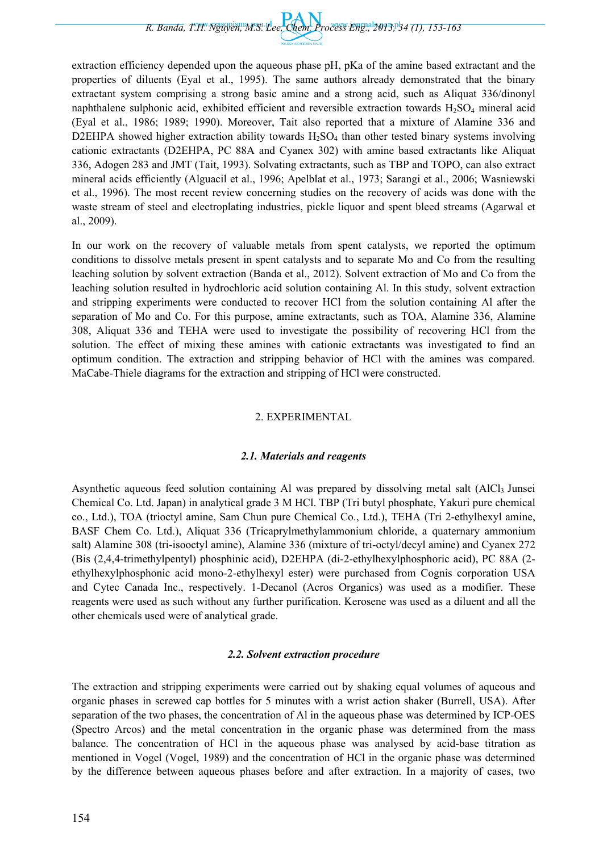*R. Banda, T.H. Nguyen, M.S. Lee, Chem. Process Eng., 2013, 34 (1), 153-163* 

extraction efficiency depended upon the aqueous phase pH, pKa of the amine based extractant and the properties of diluents (Eyal et al., 1995). The same authors already demonstrated that the binary extractant system comprising a strong basic amine and a strong acid, such as Aliquat 336/dinonyl naphthalene sulphonic acid, exhibited efficient and reversible extraction towards  $H_2SO_4$  mineral acid (Eyal et al., 1986; 1989; 1990). Moreover, Tait also reported that a mixture of Alamine 336 and D2EHPA showed higher extraction ability towards  $H_2SO_4$  than other tested binary systems involving cationic extractants (D2EHPA, PC 88A and Cyanex 302) with amine based extractants like Aliquat 336, Adogen 283 and JMT (Tait, 1993). Solvating extractants, such as TBP and TOPO, can also extract mineral acids efficiently (Alguacil et al., 1996; Apelblat et al., 1973; Sarangi et al., 2006; Wasniewski et al., 1996). The most recent review concerning studies on the recovery of acids was done with the waste stream of steel and electroplating industries, pickle liquor and spent bleed streams (Agarwal et al., 2009).

In our work on the recovery of valuable metals from spent catalysts, we reported the optimum conditions to dissolve metals present in spent catalysts and to separate Mo and Co from the resulting leaching solution by solvent extraction (Banda et al., 2012). Solvent extraction of Mo and Co from the leaching solution resulted in hydrochloric acid solution containing Al. In this study, solvent extraction and stripping experiments were conducted to recover HCl from the solution containing Al after the separation of Mo and Co. For this purpose, amine extractants, such as TOA, Alamine 336, Alamine 308, Aliquat 336 and TEHA were used to investigate the possibility of recovering HCl from the solution. The effect of mixing these amines with cationic extractants was investigated to find an optimum condition. The extraction and stripping behavior of HCl with the amines was compared. MaCabe-Thiele diagrams for the extraction and stripping of HCl were constructed.

## 2. EXPERIMENTAL

## *2.1. Materials and reagents*

Asynthetic aqueous feed solution containing Al was prepared by dissolving metal salt (AlCl<sub>3</sub> Junsei Chemical Co. Ltd. Japan) in analytical grade 3 M HCl. TBP (Tri butyl phosphate, Yakuri pure chemical co., Ltd.), TOA (trioctyl amine, Sam Chun pure Chemical Co., Ltd.), TEHA (Tri 2-ethylhexyl amine, BASF Chem Co. Ltd.), Aliquat 336 (Tricaprylmethylammonium chloride, a quaternary ammonium salt) Alamine 308 (tri-isooctyl amine), Alamine 336 (mixture of tri-octyl/decyl amine) and Cyanex 272 (Bis (2,4,4-trimethylpentyl) phosphinic acid), D2EHPA (di-2-ethylhexylphosphoric acid), PC 88A (2 ethylhexylphosphonic acid mono-2-ethylhexyl ester) were purchased from Cognis corporation USA and Cytec Canada Inc., respectively. 1-Decanol (Acros Organics) was used as a modifier. These reagents were used as such without any further purification. Kerosene was used as a diluent and all the other chemicals used were of analytical grade.

## *2.2. Solvent extraction procedure*

The extraction and stripping experiments were carried out by shaking equal volumes of aqueous and organic phases in screwed cap bottles for 5 minutes with a wrist action shaker (Burrell, USA). After separation of the two phases, the concentration of Al in the aqueous phase was determined by ICP-OES (Spectro Arcos) and the metal concentration in the organic phase was determined from the mass balance. The concentration of HCl in the aqueous phase was analysed by acid-base titration as mentioned in Vogel (Vogel, 1989) and the concentration of HCl in the organic phase was determined by the difference between aqueous phases before and after extraction. In a majority of cases, two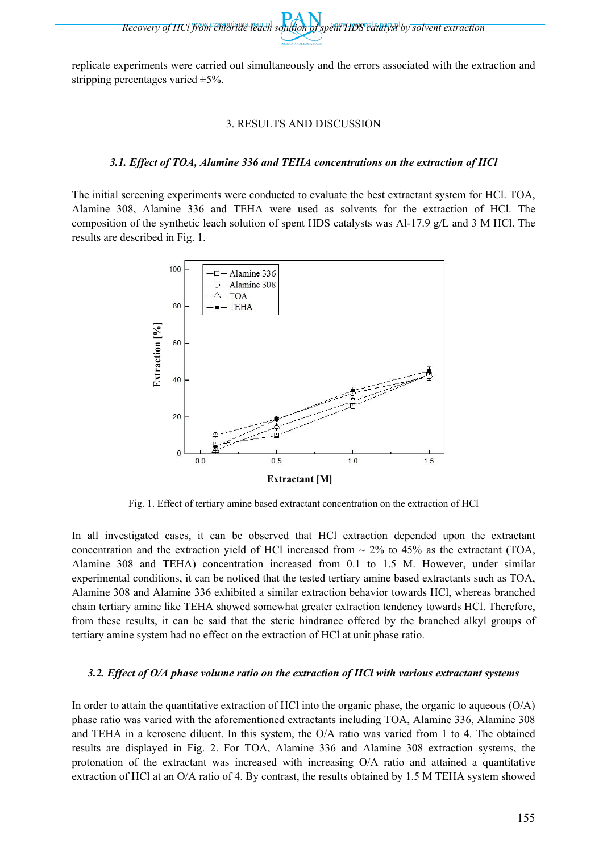*Recovery of HCl from chloride leach solution of spent HDS catalyst by solvent extraction* 

replicate experiments were carried out simultaneously and the errors associated with the extraction and stripping percentages varied ±5%.

#### 3. RESULTS AND DISCUSSION

#### *3.1. Effect of TOA, Alamine 336 and TEHA concentrations on the extraction of HCl*

The initial screening experiments were conducted to evaluate the best extractant system for HCl. TOA, Alamine 308, Alamine 336 and TEHA were used as solvents for the extraction of HCl. The composition of the synthetic leach solution of spent HDS catalysts was Al-17.9 g/L and 3 M HCl. The results are described in Fig. 1.



Fig. 1. Effect of tertiary amine based extractant concentration on the extraction of HCl

In all investigated cases, it can be observed that HCl extraction depended upon the extractant concentration and the extraction yield of HCl increased from  $\sim$  2% to 45% as the extractant (TOA, Alamine 308 and TEHA) concentration increased from 0.1 to 1.5 M. However, under similar experimental conditions, it can be noticed that the tested tertiary amine based extractants such as TOA, Alamine 308 and Alamine 336 exhibited a similar extraction behavior towards HCl, whereas branched chain tertiary amine like TEHA showed somewhat greater extraction tendency towards HCl. Therefore, from these results, it can be said that the steric hindrance offered by the branched alkyl groups of tertiary amine system had no effect on the extraction of HCl at unit phase ratio.

#### *3.2. Effect of O/A phase volume ratio on the extraction of HCl with various extractant systems*

In order to attain the quantitative extraction of HCl into the organic phase, the organic to aqueous (O/A) phase ratio was varied with the aforementioned extractants including TOA, Alamine 336, Alamine 308 and TEHA in a kerosene diluent. In this system, the O/A ratio was varied from 1 to 4. The obtained results are displayed in Fig. 2. For TOA, Alamine 336 and Alamine 308 extraction systems, the protonation of the extractant was increased with increasing  $O/A$  ratio and attained a quantitative extraction of HCl at an O/A ratio of 4. By contrast, the results obtained by 1.5 M TEHA system showed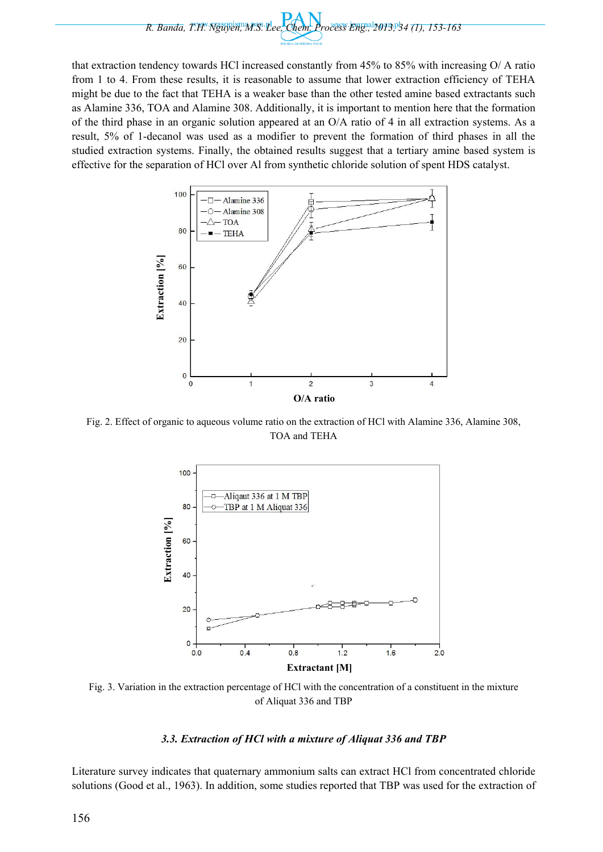

that extraction tendency towards HCl increased constantly from 45% to 85% with increasing O/ A ratio from 1 to 4. From these results, it is reasonable to assume that lower extraction efficiency of TEHA might be due to the fact that TEHA is a weaker base than the other tested amine based extractants such as Alamine 336, TOA and Alamine 308. Additionally, it is important to mention here that the formation of the third phase in an organic solution appeared at an O/A ratio of 4 in all extraction systems. As a result, 5% of 1-decanol was used as a modifier to prevent the formation of third phases in all the studied extraction systems. Finally, the obtained results suggest that a tertiary amine based system is effective for the separation of HCl over Al from synthetic chloride solution of spent HDS catalyst.



Fig. 2. Effect of organic to aqueous volume ratio on the extraction of HCl with Alamine 336, Alamine 308, TOA and TEHA



Fig. 3. Variation in the extraction percentage of HCl with the concentration of a constituent in the mixture of Aliquat 336 and TBP

## *3.3. Extraction of HCl with a mixture of Aliquat 336 and TBP*

Literature survey indicates that quaternary ammonium salts can extract HCl from concentrated chloride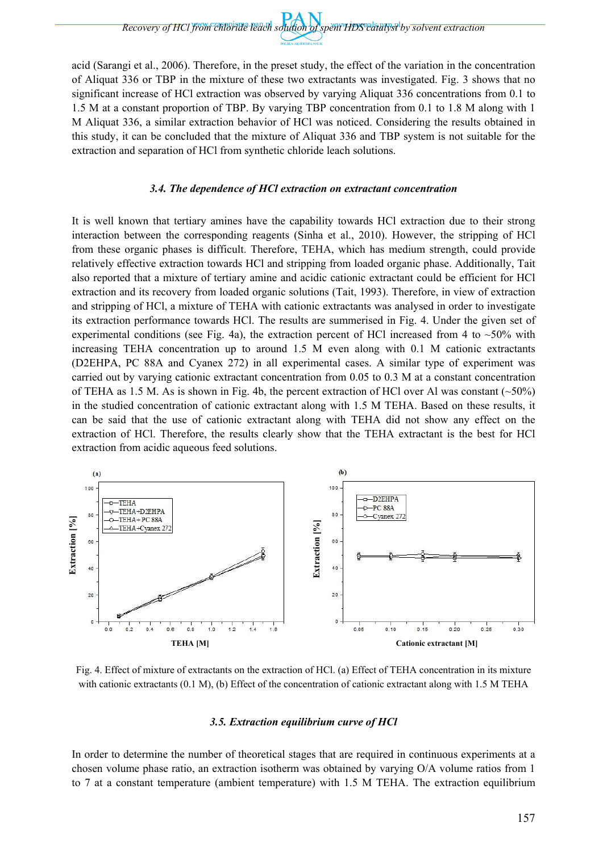*Recovery of HCl from chloride leach solution of spent HDS catalyst by solvent extraction* 

acid (Sarangi et al., 2006). Therefore, in the preset study, the effect of the variation in the concentration of Aliquat 336 or TBP in the mixture of these two extractants was investigated. Fig. 3 shows that no significant increase of HCl extraction was observed by varying Aliquat 336 concentrations from 0.1 to 1.5 M at a constant proportion of TBP. By varying TBP concentration from 0.1 to 1.8 M along with 1 M Aliquat 336, a similar extraction behavior of HCl was noticed. Considering the results obtained in this study, it can be concluded that the mixture of Aliquat 336 and TBP system is not suitable for the extraction and separation of HCl from synthetic chloride leach solutions.

#### *3.4. The dependence of HCl extraction on extractant concentration*

It is well known that tertiary amines have the capability towards HCl extraction due to their strong interaction between the corresponding reagents (Sinha et al., 2010). However, the stripping of HCl from these organic phases is difficult. Therefore, TEHA, which has medium strength, could provide relatively effective extraction towards HCl and stripping from loaded organic phase. Additionally, Tait also reported that a mixture of tertiary amine and acidic cationic extractant could be efficient for HCl extraction and its recovery from loaded organic solutions (Tait, 1993). Therefore, in view of extraction and stripping of HCl, a mixture of TEHA with cationic extractants was analysed in order to investigate its extraction performance towards HCl. The results are summerised in Fig. 4. Under the given set of experimental conditions (see Fig. 4a), the extraction percent of HCl increased from 4 to  $~50\%$  with increasing TEHA concentration up to around 1.5 M even along with 0.1 M cationic extractants (D2EHPA, PC 88A and Cyanex 272) in all experimental cases. A similar type of experiment was carried out by varying cationic extractant concentration from 0.05 to 0.3 M at a constant concentration of TEHA as 1.5 M. As is shown in Fig. 4b, the percent extraction of HCl over Al was constant  $(\sim 50\%)$ in the studied concentration of cationic extractant along with 1.5 M TEHA. Based on these results, it can be said that the use of cationic extractant along with TEHA did not show any effect on the extraction of HCl. Therefore, the results clearly show that the TEHA extractant is the best for HCl extraction from acidic aqueous feed solutions.



Fig. 4. Effect of mixture of extractants on the extraction of HCl. (a) Effect of TEHA concentration in its mixture with cationic extractants (0.1 M), (b) Effect of the concentration of cationic extractant along with 1.5 M TEHA

#### *3.5. Extraction equilibrium curve of HCl*

In order to determine the number of theoretical stages that are required in continuous experiments at a chosen volume phase ratio, an extraction isotherm was obtained by varying O/A volume ratios from 1 to 7 at a constant temperature (ambient temperature) with 1.5 M TEHA. The extraction equilibrium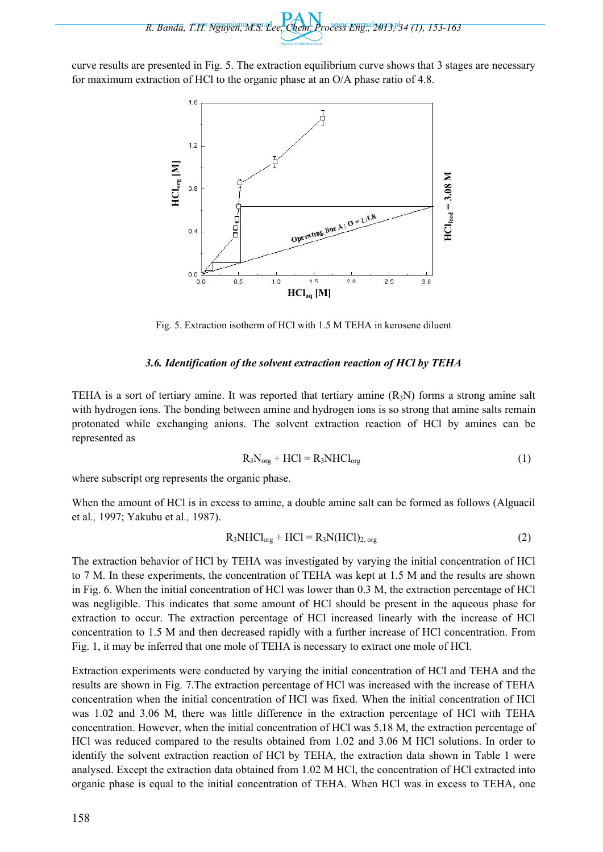*R. Banda, T.H. Nguyen, M.S. Lee, Chem. Process Eng., 2013, 34 (1), 153-163* 

curve results are presented in Fig. 5. The extraction equilibrium curve shows that 3 stages are necessary for maximum extraction of HCl to the organic phase at an O/A phase ratio of 4.8.



Fig. 5. Extraction isotherm of HCl with 1.5 M TEHA in kerosene diluent

## *3.6. Identification of the solvent extraction reaction of HCl by TEHA*

TEHA is a sort of tertiary amine. It was reported that tertiary amine  $(R_3N)$  forms a strong amine salt with hydrogen ions. The bonding between amine and hydrogen ions is so strong that amine salts remain protonated while exchanging anions. The solvent extraction reaction of HCl by amines can be represented as

$$
R_3N_{org} + HCl = R_3NHCl_{org}
$$
 (1)

where subscript org represents the organic phase.

When the amount of HCl is in excess to amine, a double amine salt can be formed as follows (Alguacil et al*.,* 1997; Yakubu et al*.,* 1987).

$$
R_3NHCl_{org} + HCl = R_3N(HCl)_{2, org}
$$
 (2)

The extraction behavior of HCl by TEHA was investigated by varying the initial concentration of HCl to 7 M. In these experiments, the concentration of TEHA was kept at 1.5 M and the results are shown in Fig. 6. When the initial concentration of HCl was lower than 0.3 M, the extraction percentage of HCl was negligible. This indicates that some amount of HCl should be present in the aqueous phase for extraction to occur. The extraction percentage of HCl increased linearly with the increase of HCl concentration to 1.5 M and then decreased rapidly with a further increase of HCl concentration. From Fig. 1, it may be inferred that one mole of TEHA is necessary to extract one mole of HCl.

Extraction experiments were conducted by varying the initial concentration of HCl and TEHA and the results are shown in Fig. 7.The extraction percentage of HCl was increased with the increase of TEHA concentration when the initial concentration of HCl was fixed. When the initial concentration of HCl was 1.02 and 3.06 M, there was little difference in the extraction percentage of HCl with TEHA concentration. However, when the initial concentration of HCl was 5.18 M, the extraction percentage of HCl was reduced compared to the results obtained from 1.02 and 3.06 M HCl solutions. In order to identify the solvent extraction reaction of HCl by TEHA, the extraction data shown in Table 1 were analysed. Except the extraction data obtained from 1.02 M HCl, the concentration of HCl extracted into organic phase is equal to the initial concentration of TEHA. When HCl was in excess to TEHA, one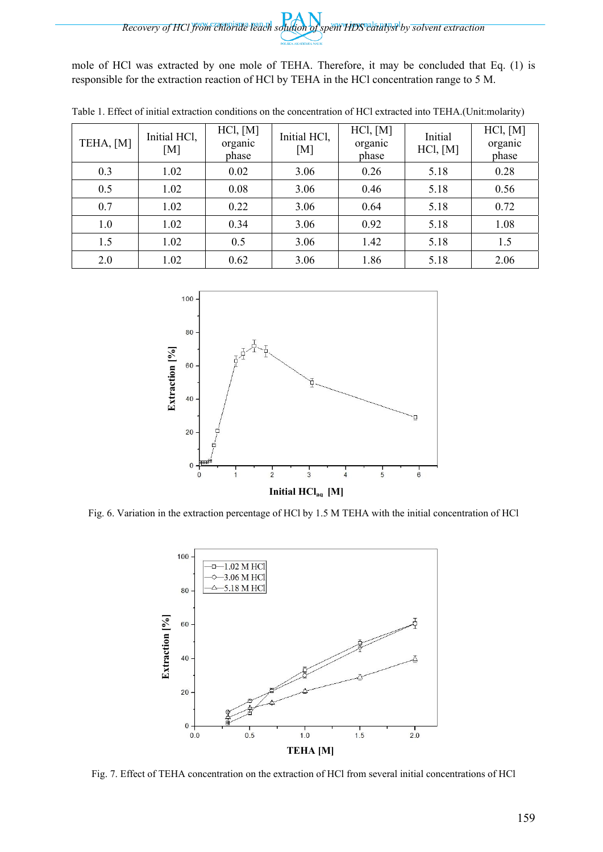mole of HCl was extracted by one mole of TEHA. Therefore, it may be concluded that Eq. (1) is responsible for the extraction reaction of HCl by TEHA in the HCl concentration range to 5 M.

| TEHA, [M] | Initial HCl,<br>[M] | HCI, [M]<br>organic<br>phase | Initial HCl,<br>[M] | HCl, [M]<br>organic<br>phase | Initial<br>HCl, [M] | HCl, [M]<br>organic<br>phase |
|-----------|---------------------|------------------------------|---------------------|------------------------------|---------------------|------------------------------|
| 0.3       | 1.02                | 0.02                         | 3.06                | 0.26                         | 5.18                | 0.28                         |
| 0.5       | 1.02                | 0.08                         | 3.06                | 0.46                         | 5.18                | 0.56                         |
| 0.7       | 1.02                | 0.22                         | 3.06                | 0.64                         | 5.18                | 0.72                         |
| 1.0       | 1.02                | 0.34                         | 3.06                | 0.92                         | 5.18                | 1.08                         |
| 1.5       | 1.02                | 0.5                          | 3.06                | 1.42                         | 5.18                | 1.5                          |
| 2.0       | 1.02                | 0.62                         | 3.06                | 1.86                         | 5.18                | 2.06                         |

Table 1. Effect of initial extraction conditions on the concentration of HCl extracted into TEHA.(Unit:molarity)



Fig. 6. Variation in the extraction percentage of HCl by 1.5 M TEHA with the initial concentration of HCl



Fig. 7. Effect of TEHA concentration on the extraction of HCl from several initial concentrations of HCl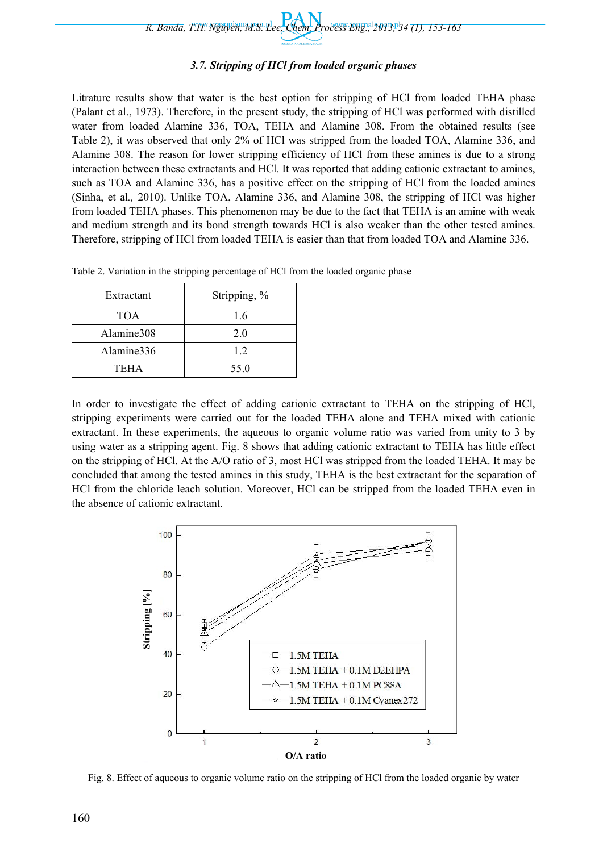## *3.7. Stripping of HCl from loaded organic phases*

Litrature results show that water is the best option for stripping of HCl from loaded TEHA phase (Palant et al., 1973). Therefore, in the present study, the stripping of HCl was performed with distilled water from loaded Alamine 336, TOA, TEHA and Alamine 308. From the obtained results (see Table 2), it was observed that only 2% of HCl was stripped from the loaded TOA, Alamine 336, and Alamine 308. The reason for lower stripping efficiency of HCl from these amines is due to a strong interaction between these extractants and HCl. It was reported that adding cationic extractant to amines, such as TOA and Alamine 336, has a positive effect on the stripping of HCl from the loaded amines (Sinha, et al*.,* 2010). Unlike TOA, Alamine 336, and Alamine 308, the stripping of HCl was higher from loaded TEHA phases. This phenomenon may be due to the fact that TEHA is an amine with weak and medium strength and its bond strength towards HCl is also weaker than the other tested amines. Therefore, stripping of HCl from loaded TEHA is easier than that from loaded TOA and Alamine 336.

Table 2. Variation in the stripping percentage of HCl from the loaded organic phase

| Extractant | Stripping, % |  |  |
|------------|--------------|--|--|
| <b>TOA</b> | 1.6          |  |  |
| Alamine308 | 2.0          |  |  |
| Alamine336 | 12           |  |  |
| TEHA       | 55.0         |  |  |

In order to investigate the effect of adding cationic extractant to TEHA on the stripping of HCl, stripping experiments were carried out for the loaded TEHA alone and TEHA mixed with cationic extractant. In these experiments, the aqueous to organic volume ratio was varied from unity to 3 by using water as a stripping agent. Fig. 8 shows that adding cationic extractant to TEHA has little effect on the stripping of HCl. At the A/O ratio of 3, most HCl was stripped from the loaded TEHA. It may be concluded that among the tested amines in this study, TEHA is the best extractant for the separation of HCl from the chloride leach solution. Moreover, HCl can be stripped from the loaded TEHA even in the absence of cationic extractant.



Fig. 8. Effect of aqueous to organic volume ratio on the stripping of HCl from the loaded organic by water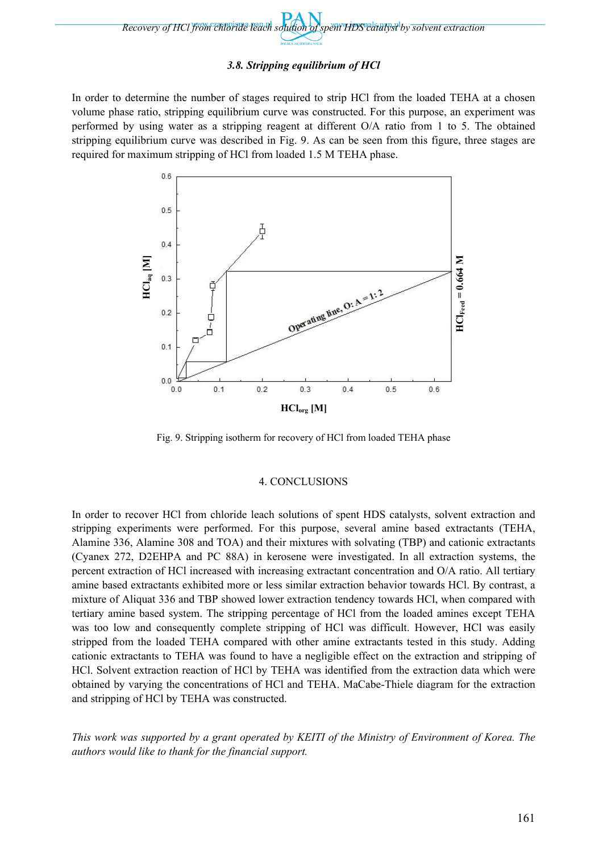

# *3.8. Stripping equilibrium of HCl*

In order to determine the number of stages required to strip HCl from the loaded TEHA at a chosen volume phase ratio, stripping equilibrium curve was constructed. For this purpose, an experiment was performed by using water as a stripping reagent at different O/A ratio from 1 to 5. The obtained stripping equilibrium curve was described in Fig. 9. As can be seen from this figure, three stages are required for maximum stripping of HCl from loaded 1.5 M TEHA phase.



Fig. 9. Stripping isotherm for recovery of HCl from loaded TEHA phase

## 4. CONCLUSIONS

In order to recover HCl from chloride leach solutions of spent HDS catalysts, solvent extraction and stripping experiments were performed. For this purpose, several amine based extractants (TEHA, Alamine 336, Alamine 308 and TOA) and their mixtures with solvating (TBP) and cationic extractants (Cyanex 272, D2EHPA and PC 88A) in kerosene were investigated. In all extraction systems, the percent extraction of HCl increased with increasing extractant concentration and O/A ratio. All tertiary amine based extractants exhibited more or less similar extraction behavior towards HCl. By contrast, a mixture of Aliquat 336 and TBP showed lower extraction tendency towards HCl, when compared with tertiary amine based system. The stripping percentage of HCl from the loaded amines except TEHA was too low and consequently complete stripping of HCl was difficult. However, HCl was easily stripped from the loaded TEHA compared with other amine extractants tested in this study. Adding cationic extractants to TEHA was found to have a negligible effect on the extraction and stripping of HCl. Solvent extraction reaction of HCl by TEHA was identified from the extraction data which were obtained by varying the concentrations of HCl and TEHA. MaCabe-Thiele diagram for the extraction and stripping of HCl by TEHA was constructed.

*This work was supported by a grant operated by KEITI of the Ministry of Environment of Korea. The authors would like to thank for the financial support.*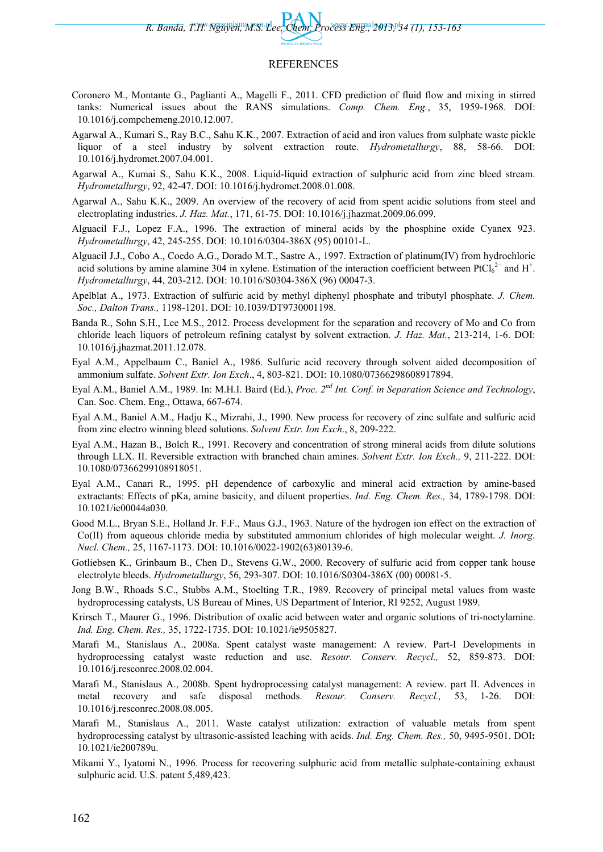*R. Banda, T.H. Nguyen, M.S. Lee, Chem. Process Eng., 2013, 34 (1), 153-163* 

#### REFERENCES

- Coronero M., Montante G., Paglianti A., Magelli F., 2011. CFD prediction of fluid flow and mixing in stirred tanks: Numerical issues about the RANS simulations. *Comp. Chem. Eng.*, 35, 1959-1968. DOI: 10.1016/j.compchemeng.2010.12.007.
- Agarwal A., Kumari S., Ray B.C., Sahu K.K., 2007. Extraction of acid and iron values from sulphate waste pickle liquor of a steel industry by solvent extraction route. *Hydrometallurgy*, 88, 58-66. DOI: 10.1016/j.hydromet.2007.04.001.
- Agarwal A., Kumai S., Sahu K.K., 2008. Liquid-liquid extraction of sulphuric acid from zinc bleed stream. *Hydrometallurgy*, 92, 42-47. DOI: 10.1016/j.hydromet.2008.01.008.
- Agarwal A., Sahu K.K., 2009. An overview of the recovery of acid from spent acidic solutions from steel and electroplating industries. *J. Haz. Mat.*, 171, 61-75. DOI: 10.1016/j.jhazmat.2009.06.099.
- Alguacil F.J., Lopez F.A., 1996. The extraction of mineral acids by the phosphine oxide Cyanex 923. *Hydrometallurgy*, 42, 245-255. DOI: 10.1016/0304-386X (95) 00101-L.
- Alguacil J.J., Cobo A., Coedo A.G., Dorado M.T., Sastre A., 1997. Extraction of platinum(IV) from hydrochloric acid solutions by amine alamine 304 in xylene. Estimation of the interaction coefficient between  $PtCl_6^{2-}$  and H<sup>+</sup>. *Hydrometallurgy*, 44, 203-212. DOI: 10.1016/S0304-386X (96) 00047-3.
- Apelblat A., 1973. Extraction of sulfuric acid by methyl diphenyl phosphate and tributyl phosphate. *J. Chem. Soc., Dalton Trans.,* 1198-1201. DOI: 10.1039/DT9730001198.
- Banda R., Sohn S.H., Lee M.S., 2012. Process development for the separation and recovery of Mo and Co from chloride leach liquors of petroleum refining catalyst by solvent extraction. *J. Haz. Mat.*, 213-214, 1-6. DOI: 10.1016/j.jhazmat.2011.12.078.
- Eyal A.M., Appelbaum C., Baniel A., 1986. Sulfuric acid recovery through solvent aided decomposition of ammonium sulfate. *Solvent Extr. Ion Exch*., 4, 803-821. DOI: 10.1080/07366298608917894.
- Eyal A.M., Baniel A.M., 1989. In: M.H.I. Baird (Ed.), *Proc. 2nd Int. Conf. in Separation Science and Technology*, Can. Soc. Chem. Eng., Ottawa, 667-674.
- Eyal A.M., Baniel A.M., Hadju K., Mizrahi, J., 1990. New process for recovery of zinc sulfate and sulfuric acid from zinc electro winning bleed solutions. *Solvent Extr. Ion Exch*., 8, 209-222.
- Eyal A.M., Hazan B., Bolch R., 1991. Recovery and concentration of strong mineral acids from dilute solutions through LLX. II. Reversible extraction with branched chain amines. *Solvent Extr. Ion Exch.,* 9, 211-222. DOI: 10.1080/07366299108918051.
- Eyal A.M., Canari R., 1995. pH dependence of carboxylic and mineral acid extraction by amine-based extractants: Effects of pKa, amine basicity, and diluent properties. *Ind. Eng. Chem. Res.,* 34, 1789-1798. DOI: 10.1021/ie00044a030.
- Good M.L., Bryan S.E., Holland Jr. F.F., Maus G.J., 1963. Nature of the hydrogen ion effect on the extraction of Co(II) from aqueous chloride media by substituted ammonium chlorides of high molecular weight. *J. Inorg. Nucl. Chem.,* 25, 1167-1173. DOI: 10.1016/0022-1902(63)80139-6.
- Gotliebsen K., Grinbaum B., Chen D., Stevens G.W., 2000. Recovery of sulfuric acid from copper tank house electrolyte bleeds. *Hydrometallurgy*, 56, 293-307. DOI: 10.1016/S0304-386X (00) 00081-5.
- Jong B.W., Rhoads S.C., Stubbs A.M., Stoelting T.R., 1989. Recovery of principal metal values from waste hydroprocessing catalysts, US Bureau of Mines, US Department of Interior, RI 9252, August 1989.
- Krirsch T., Maurer G., 1996. Distribution of oxalic acid between water and organic solutions of tri-noctylamine. *Ind. Eng. Chem. Res.,* 35, 1722-1735. DOI: 10.1021/ie9505827.
- Marafi M., Stanislaus A., 2008a. Spent catalyst waste management: A review. Part-I Developments in hydroprocessing catalyst waste reduction and use. *Resour. Conserv. Recycl.,* 52, 859-873. DOI: 10.1016/j.resconrec.2008.02.004.
- Marafi M., Stanislaus A., 2008b. Spent hydroprocessing catalyst management: A review. part II. Advences in metal recovery and safe disposal methods. *Resour. Conserv. Recycl.,* 53, 1-26. DOI: 10.1016/j.resconrec.2008.08.005.
- Marafi M., Stanislaus A., 2011. Waste catalyst utilization: extraction of valuable metals from spent hydroprocessing catalyst by ultrasonic-assisted leaching with acids. *Ind. Eng. Chem. Res.,* 50, 9495-9501. DOI**:**  10.1021/ie200789u.
- Mikami Y., Iyatomi N., 1996. Process for recovering sulphuric acid from metallic sulphate-containing exhaust sulphuric acid. U.S. patent 5,489,423.